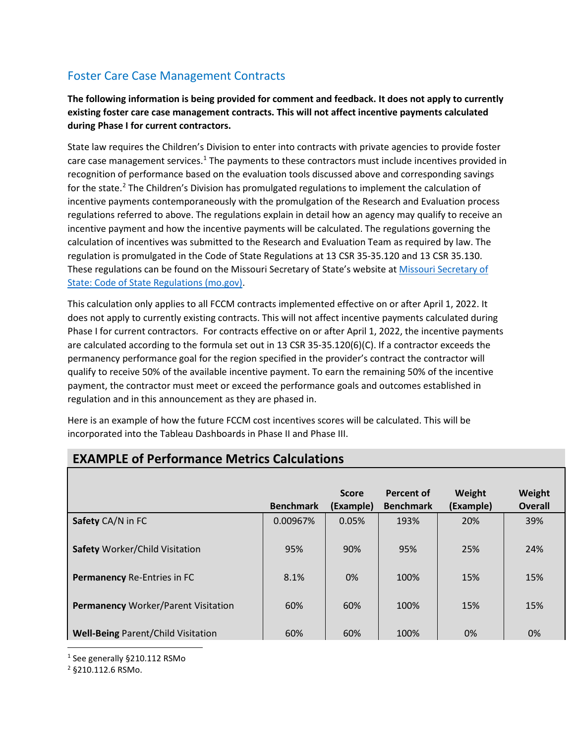## Foster Care Case Management Contracts

**The following information is being provided for comment and feedback. It does not apply to currently existing foster care case management contracts. This will not affect incentive payments calculated during Phase I for current contractors.** 

State law requires the Children's Division to enter into contracts with private agencies to provide foster care case management services.<sup>[1](#page-0-0)</sup> The payments to these contractors must include incentives provided in recognition of performance based on the evaluation tools discussed above and corresponding savings for the state.<sup>[2](#page-0-1)</sup> The Children's Division has promulgated regulations to implement the calculation of incentive payments contemporaneously with the promulgation of the Research and Evaluation process regulations referred to above. The regulations explain in detail how an agency may qualify to receive an incentive payment and how the incentive payments will be calculated. The regulations governing the calculation of incentives was submitted to the Research and Evaluation Team as required by law. The regulation is promulgated in the Code of State Regulations at 13 CSR 35-35.120 and 13 CSR 35.130. These regulations can be found on the Missouri Secretary of State's website at [Missouri Secretary of](https://www.sos.mo.gov/CMSImages/AdRules/csr/current/13csr/13c35-35.pdf)  [State: Code of State Regulations \(mo.gov\).](https://www.sos.mo.gov/CMSImages/AdRules/csr/current/13csr/13c35-35.pdf)

This calculation only applies to all FCCM contracts implemented effective on or after April 1, 2022. It does not apply to currently existing contracts. This will not affect incentive payments calculated during Phase I for current contractors. For contracts effective on or after April 1, 2022, the incentive payments are calculated according to the formula set out in 13 CSR 35-35.120(6)(C). If a contractor exceeds the permanency performance goal for the region specified in the provider's contract the contractor will qualify to receive 50% of the available incentive payment. To earn the remaining 50% of the incentive payment, the contractor must meet or exceed the performance goals and outcomes established in regulation and in this announcement as they are phased in.

Here is an example of how the future FCCM cost incentives scores will be calculated. This will be incorporated into the Tableau Dashboards in Phase II and Phase III.

|                                            | <b>Benchmark</b> | <b>Score</b><br>(Example) | <b>Percent of</b><br><b>Benchmark</b> | Weight<br>(Example) | Weight<br><b>Overall</b> |
|--------------------------------------------|------------------|---------------------------|---------------------------------------|---------------------|--------------------------|
| Safety CA/N in FC                          | 0.00967%         | 0.05%                     | 193%                                  | 20%                 | 39%                      |
| <b>Safety Worker/Child Visitation</b>      | 95%              | 90%                       | 95%                                   | 25%                 | 24%                      |
| <b>Permanency Re-Entries in FC</b>         | 8.1%             | 0%                        | 100%                                  | 15%                 | 15%                      |
| <b>Permanency Worker/Parent Visitation</b> | 60%              | 60%                       | 100%                                  | 15%                 | 15%                      |
| <b>Well-Being Parent/Child Visitation</b>  | 60%              | 60%                       | 100%                                  | 0%                  | 0%                       |

## **EXAMPLE of Performance Metrics Calculations**

<span id="page-0-0"></span> <sup>1</sup> See generally §210.112 RSMo

<span id="page-0-1"></span><sup>2</sup> §210.112.6 RSMo.